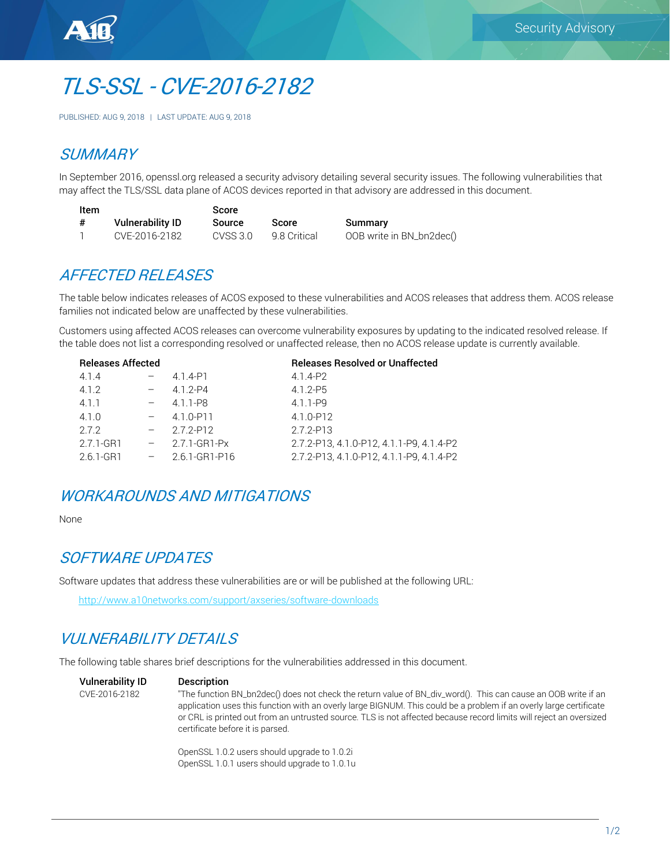

# TLS-SSL - CVE-2016-2182

PUBLISHED: AUG 9, 2018 | LAST UPDATE: AUG 9, 2018

## **SUMMARY**

In September 2016, openssl.org released a security advisory detailing several security issues. The following vulnerabilities that may affect the TLS/SSL data plane of ACOS devices reported in that advisory are addressed in this document.

| Item |                         | <b>Score</b> |              |                          |
|------|-------------------------|--------------|--------------|--------------------------|
| #    | <b>Vulnerability ID</b> | Source       | Score        | Summary                  |
|      | CVE-2016-2182           | CVSS 3.0     | 9.8 Critical | OOB write in BN_bn2dec() |

# AFFECTED RELEASES

The table below indicates releases of ACOS exposed to these vulnerabilities and ACOS releases that address them. ACOS release families not indicated below are unaffected by these vulnerabilities.

Customers using affected ACOS releases can overcome vulnerability exposures by updating to the indicated resolved release. If the table does not list a corresponding resolved or unaffected release, then no ACOS release update is currently available.

| <b>Releases Affected</b> |        |               | <b>Releases Resolved or Unaffected</b>   |
|--------------------------|--------|---------------|------------------------------------------|
| 4.1.4                    |        | 4.1.4-P1      | 4.1.4-P2                                 |
| 4.1.2                    |        | $4.1.2 - P4$  | $4.1.2 - P5$                             |
| 4.1.1                    | $-$    | 4.1.1-P8      | $4.1.1 - P9$                             |
| 4.1.0                    |        | 4.1.0-P11     | 4.1.0-P12                                |
| 272                      |        | 272-P12       | 2.7.2-P13                                |
| 2.7.1-GR1                | $\sim$ | 2.7.1-GR1-Px  | 2.7.2-P13.4.1.0-P12.4.1.1-P9.4.1.4-P2    |
| 2.6.1-GR1                | $  \,$ | 2.6.1-GR1-P16 | 2.7.2-P13, 4.1.0-P12, 4.1.1-P9, 4.1.4-P2 |
|                          |        |               |                                          |

# WORKAROUNDS AND MITIGATIONS

None

#### SOFTWARE UPDATES

Software updates that address these vulnerabilities are or will be published at the following URL:

<http://www.a10networks.com/support/axseries/software-downloads>

# VULNERABILITY DETAILS

The following table shares brief descriptions for the vulnerabilities addressed in this document.

#### Vulnerability ID Description

CVE-2016-2182 "The function BN\_bn2dec() does not check the return value of BN\_div\_word(). This can cause an OOB write if an application uses this function with an overly large BIGNUM. This could be a problem if an overly large certificate or CRL is printed out from an untrusted source. TLS is not affected because record limits will reject an oversized certificate before it is parsed.

> OpenSSL 1.0.2 users should upgrade to 1.0.2i OpenSSL 1.0.1 users should upgrade to 1.0.1u